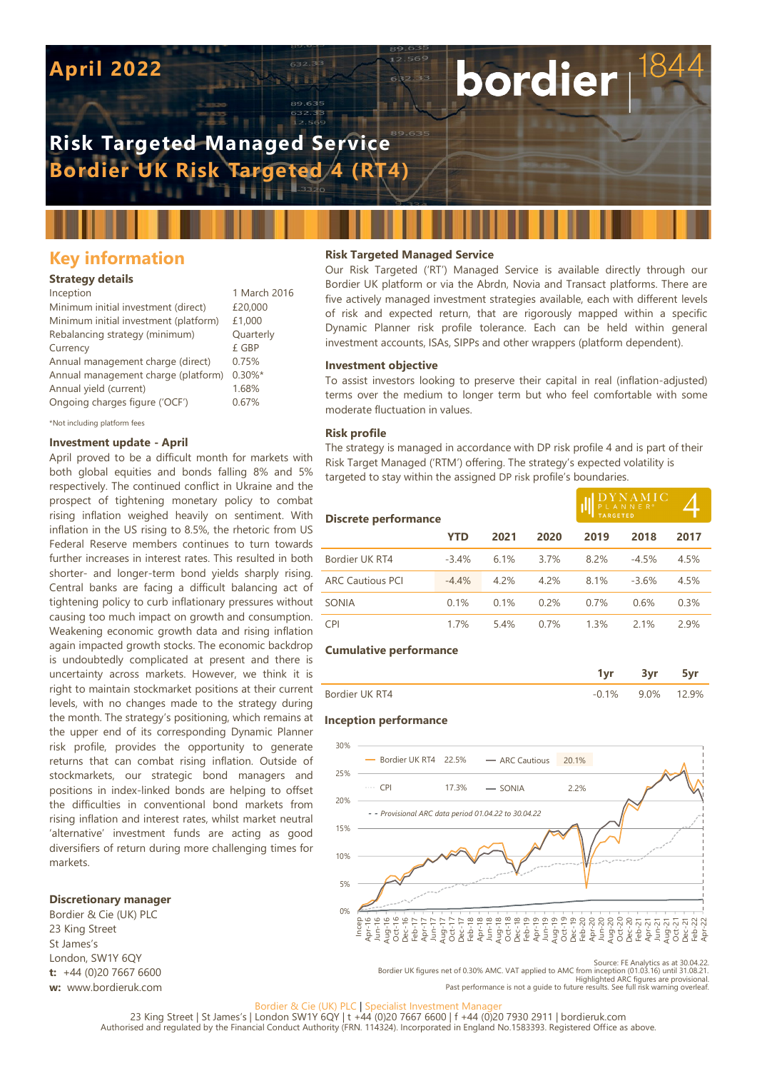# **April 2022**

# **Risk Targeted Managed Service Bordier UK Risk Targeted 4 (RT4)**

# **Key information**

## **Strategy details**

| Inception                             | 1 March 2016 |
|---------------------------------------|--------------|
| Minimum initial investment (direct)   | £20,000      |
| Minimum initial investment (platform) | £1,000       |
| Rebalancing strategy (minimum)        | Quarterly    |
| Currency                              | £ GBP        |
| Annual management charge (direct)     | 0.75%        |
| Annual management charge (platform)   | $0.30\%$ *   |
| Annual yield (current)                | 1.68%        |
| Ongoing charges figure ('OCF')        | 0.67%        |
|                                       |              |

\*Not including platform fees

### **Investment update - April**

April proved to be a difficult month for markets with both global equities and bonds falling 8% and 5% respectively. The continued conflict in Ukraine and the prospect of tightening monetary policy to combat rising inflation weighed heavily on sentiment. With inflation in the US rising to 8.5%, the rhetoric from US Federal Reserve members continues to turn towards further increases in interest rates. This resulted in both shorter- and longer-term bond yields sharply rising. Central banks are facing a difficult balancing act of tightening policy to curb inflationary pressures without causing too much impact on growth and consumption. Weakening economic growth data and rising inflation again impacted growth stocks. The economic backdrop is undoubtedly complicated at present and there is uncertainty across markets. However, we think it is right to maintain stockmarket positions at their current levels, with no changes made to the strategy during the month. The strategy's positioning, which remains at the upper end of its corresponding Dynamic Planner risk profile, provides the opportunity to generate returns that can combat rising inflation. Outside of stockmarkets, our strategic bond managers and positions in index-linked bonds are helping to offset the difficulties in conventional bond markets from rising inflation and interest rates, whilst market neutral 'alternative' investment funds are acting as good diversifiers of return during more challenging times for markets.

## **Discretionary manager**

Bordier & Cie (UK) PLC 23 King Street St James's London, SW1Y 6QY **t:** +44 (0)20 7667 6600 **w:** www.bordieruk.com

# **Risk Targeted Managed Service**

Our Risk Targeted ('RT') Managed Service is available directly through our Bordier UK platform or via the Abrdn, Novia and Transact platforms. There are five actively managed investment strategies available, each with different levels of risk and expected return, that are rigorously mapped within a specific Dynamic Planner risk profile tolerance. Each can be held within general investment accounts, ISAs, SIPPs and other wrappers (platform dependent).

bordier

#### **Investment objective**

To assist investors looking to preserve their capital in real (inflation-adjusted) terms over the medium to longer term but who feel comfortable with some moderate fluctuation in values.

#### **Risk profile**

The strategy is managed in accordance with DP risk profile 4 and is part of their Risk Target Managed ('RTM') offering. The strategy's expected volatility is targeted to stay within the assigned DP risk profile's boundaries.

| <b>Discrete performance</b> |         |      |      | $\underset{\mathsf{PL} \,\,\mathsf{AN} \,\, \mathsf{NE} \,\, \mathsf{R}^*}{\text{D} \,\, \mathsf{L} \,\, \mathsf{AN} \,\, \mathsf{NE} \,\, \mathsf{R}^*} \mathsf{C}$ |         |      |
|-----------------------------|---------|------|------|----------------------------------------------------------------------------------------------------------------------------------------------------------------------|---------|------|
|                             | YTD     | 2021 | 2020 | 2019                                                                                                                                                                 | 2018    | 2017 |
| Bordier UK RT4              | $-3.4%$ | 6.1% | 3.7% | 8.2%                                                                                                                                                                 | $-4.5%$ | 4.5% |
| <b>ARC Cautious PCI</b>     | $-4.4%$ | 4.2% | 4.2% | 8.1%                                                                                                                                                                 | $-3.6%$ | 4.5% |
| SONIA                       | 0.1%    | 0.1% | 0.2% | 0.7%                                                                                                                                                                 | 0.6%    | 0.3% |
| <b>CPI</b>                  | 1.7%    | 5.4% | 0.7% | 1.3%                                                                                                                                                                 | 2.1%    | 2.9% |

#### **Cumulative performance**

|                         | -  |    |
|-------------------------|----|----|
| $D - \alpha$<br>'IK RTA | ገ‰ | QQ |

#### **Inception performance**



Source: FE Analytics as at 30.04.22<br>.Bordier UK figures net of 0.30% AMC. VAT applied to AMC from inception (01.03.16) until 31.08.21<br>.Highlighted ARC figures are provisional<br>Past performance is not a quide to future resul

# Bordier & Cie (UK) PLC | Specialist Investment Man

23 King Street | St James's | London SW1Y 6QY | t +44 (0)20 7667 6600 | f +44 (0)20 7930 2911 | bordieruk.com Authorised and regulated by the Financial Conduct Authority (FRN. 114324). Incorporated in England No.1583393. Registered Office as above.